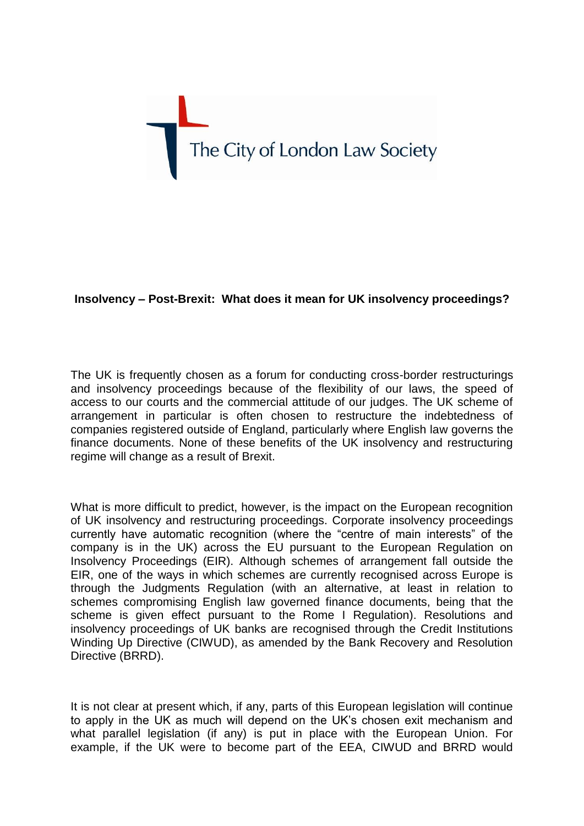

## **Insolvency – Post-Brexit: What does it mean for UK insolvency proceedings?**

The UK is frequently chosen as a forum for conducting cross-border restructurings and insolvency proceedings because of the flexibility of our laws, the speed of access to our courts and the commercial attitude of our judges. The UK scheme of arrangement in particular is often chosen to restructure the indebtedness of companies registered outside of England, particularly where English law governs the finance documents. None of these benefits of the UK insolvency and restructuring regime will change as a result of Brexit.

What is more difficult to predict, however, is the impact on the European recognition of UK insolvency and restructuring proceedings. Corporate insolvency proceedings currently have automatic recognition (where the "centre of main interests" of the company is in the UK) across the EU pursuant to the European Regulation on Insolvency Proceedings (EIR). Although schemes of arrangement fall outside the EIR, one of the ways in which schemes are currently recognised across Europe is through the Judgments Regulation (with an alternative, at least in relation to schemes compromising English law governed finance documents, being that the scheme is given effect pursuant to the Rome I Regulation). Resolutions and insolvency proceedings of UK banks are recognised through the Credit Institutions Winding Up Directive (CIWUD), as amended by the Bank Recovery and Resolution Directive (BRRD).

It is not clear at present which, if any, parts of this European legislation will continue to apply in the UK as much will depend on the UK's chosen exit mechanism and what parallel legislation (if any) is put in place with the European Union. For example, if the UK were to become part of the EEA, CIWUD and BRRD would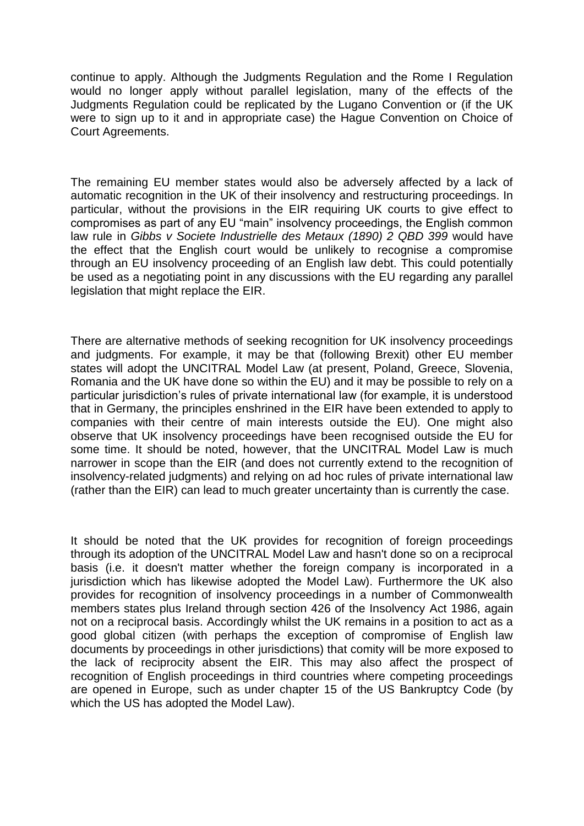continue to apply. Although the Judgments Regulation and the Rome I Regulation would no longer apply without parallel legislation, many of the effects of the Judgments Regulation could be replicated by the Lugano Convention or (if the UK were to sign up to it and in appropriate case) the Hague Convention on Choice of Court Agreements.

The remaining EU member states would also be adversely affected by a lack of automatic recognition in the UK of their insolvency and restructuring proceedings. In particular, without the provisions in the EIR requiring UK courts to give effect to compromises as part of any EU "main" insolvency proceedings, the English common law rule in *Gibbs v Societe Industrielle des Metaux (1890) 2 QBD 399* would have the effect that the English court would be unlikely to recognise a compromise through an EU insolvency proceeding of an English law debt. This could potentially be used as a negotiating point in any discussions with the EU regarding any parallel legislation that might replace the EIR.

There are alternative methods of seeking recognition for UK insolvency proceedings and judgments. For example, it may be that (following Brexit) other EU member states will adopt the UNCITRAL Model Law (at present, Poland, Greece, Slovenia, Romania and the UK have done so within the EU) and it may be possible to rely on a particular jurisdiction's rules of private international law (for example, it is understood that in Germany, the principles enshrined in the EIR have been extended to apply to companies with their centre of main interests outside the EU). One might also observe that UK insolvency proceedings have been recognised outside the EU for some time. It should be noted, however, that the UNCITRAL Model Law is much narrower in scope than the EIR (and does not currently extend to the recognition of insolvency-related judgments) and relying on ad hoc rules of private international law (rather than the EIR) can lead to much greater uncertainty than is currently the case.

It should be noted that the UK provides for recognition of foreign proceedings through its adoption of the UNCITRAL Model Law and hasn't done so on a reciprocal basis (i.e. it doesn't matter whether the foreign company is incorporated in a jurisdiction which has likewise adopted the Model Law). Furthermore the UK also provides for recognition of insolvency proceedings in a number of Commonwealth members states plus Ireland through section 426 of the Insolvency Act 1986, again not on a reciprocal basis. Accordingly whilst the UK remains in a position to act as a good global citizen (with perhaps the exception of compromise of English law documents by proceedings in other jurisdictions) that comity will be more exposed to the lack of reciprocity absent the EIR. This may also affect the prospect of recognition of English proceedings in third countries where competing proceedings are opened in Europe, such as under chapter 15 of the US Bankruptcy Code (by which the US has adopted the Model Law).